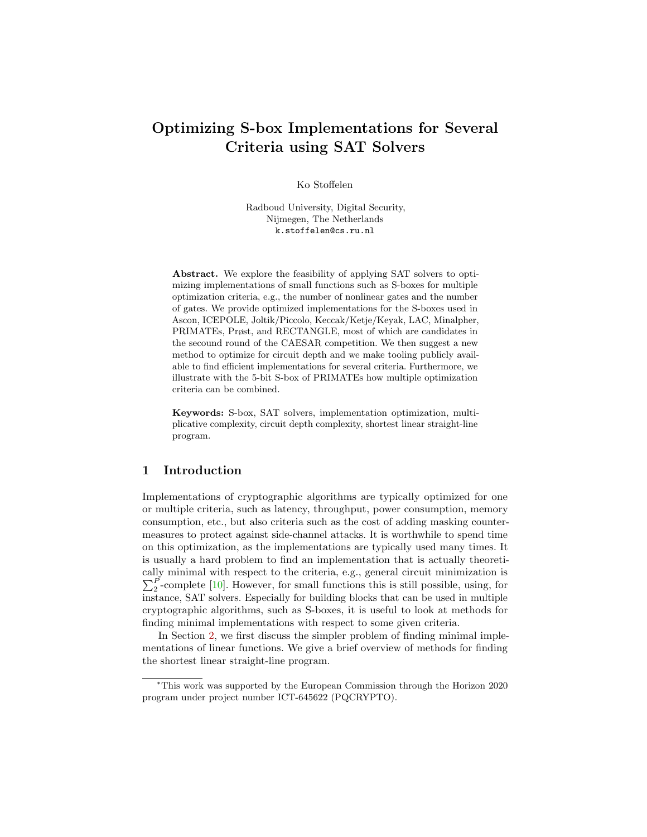# <span id="page-0-0"></span>Optimizing S-box Implementations for Several Criteria using SAT Solvers

Ko Stoffelen

Radboud University, Digital Security, Nijmegen, The Netherlands k.stoffelen@cs.ru.nl

Abstract. We explore the feasibility of applying SAT solvers to optimizing implementations of small functions such as S-boxes for multiple optimization criteria, e.g., the number of nonlinear gates and the number of gates. We provide optimized implementations for the S-boxes used in Ascon, ICEPOLE, Joltik/Piccolo, Keccak/Ketje/Keyak, LAC, Minalpher, PRIMATEs, Prøst, and RECTANGLE, most of which are candidates in the secound round of the CAESAR competition. We then suggest a new method to optimize for circuit depth and we make tooling publicly available to find efficient implementations for several criteria. Furthermore, we illustrate with the 5-bit S-box of PRIMATEs how multiple optimization criteria can be combined.

Keywords: S-box, SAT solvers, implementation optimization, multiplicative complexity, circuit depth complexity, shortest linear straight-line program.

### 1 Introduction

Implementations of cryptographic algorithms are typically optimized for one or multiple criteria, such as latency, throughput, power consumption, memory consumption, etc., but also criteria such as the cost of adding masking countermeasures to protect against side-channel attacks. It is worthwhile to spend time on this optimization, as the implementations are typically used many times. It is usually a hard problem to find an implementation that is actually theoretically minimal with respect to the criteria, e.g., general circuit minimization is  $\sum_{i=2}^{p}$ -complete [\[10\]](#page-14-0). However, for small functions this is still possible, using, for instance, SAT solvers. Especially for building blocks that can be used in multiple cryptographic algorithms, such as S-boxes, it is useful to look at methods for finding minimal implementations with respect to some given criteria.

In Section [2,](#page-1-0) we first discuss the simpler problem of finding minimal implementations of linear functions. We give a brief overview of methods for finding the shortest linear straight-line program.

<sup>∗</sup>This work was supported by the European Commission through the Horizon 2020 program under project number ICT-645622 (PQCRYPTO).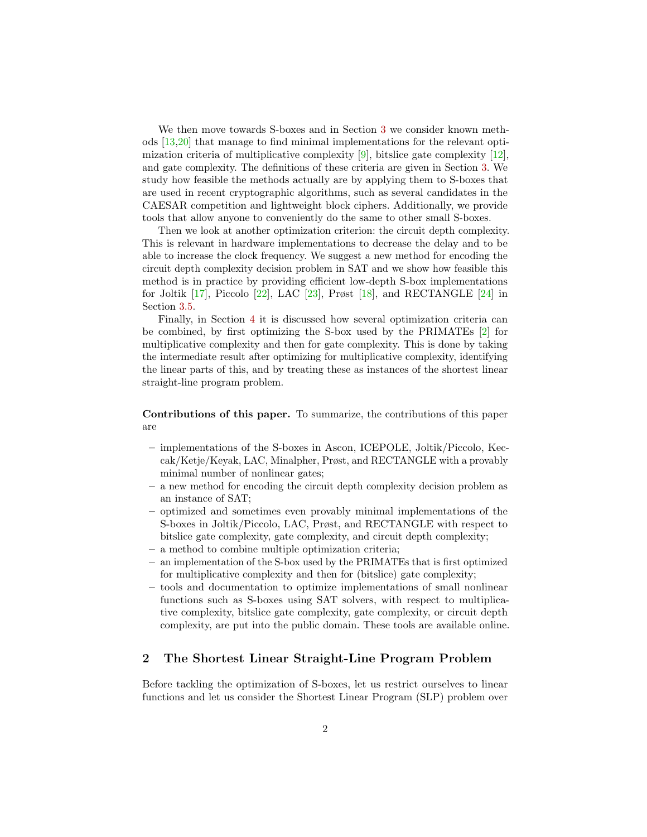We then move towards S-boxes and in Section [3](#page-2-0) we consider known methods [\[13,](#page-14-1)[20\]](#page-15-0) that manage to find minimal implementations for the relevant optimization criteria of multiplicative complexity  $[9]$ , bitslice gate complexity  $[12]$ , and gate complexity. The definitions of these criteria are given in Section [3.](#page-2-0) We study how feasible the methods actually are by applying them to S-boxes that are used in recent cryptographic algorithms, such as several candidates in the CAESAR competition and lightweight block ciphers. Additionally, we provide tools that allow anyone to conveniently do the same to other small S-boxes.

Then we look at another optimization criterion: the circuit depth complexity. This is relevant in hardware implementations to decrease the delay and to be able to increase the clock frequency. We suggest a new method for encoding the circuit depth complexity decision problem in SAT and we show how feasible this method is in practice by providing efficient low-depth S-box implementations for Joltik  $[17]$ , Piccolo  $[22]$ , LAC  $[23]$ , Prøst  $[18]$ , and RECTANGLE  $[24]$  in Section [3.5.](#page-9-0)

Finally, in Section [4](#page-10-0) it is discussed how several optimization criteria can be combined, by first optimizing the S-box used by the PRIMATEs [\[2\]](#page-13-0) for multiplicative complexity and then for gate complexity. This is done by taking the intermediate result after optimizing for multiplicative complexity, identifying the linear parts of this, and by treating these as instances of the shortest linear straight-line program problem.

Contributions of this paper. To summarize, the contributions of this paper are

- implementations of the S-boxes in Ascon, ICEPOLE, Joltik/Piccolo, Keccak/Ketje/Keyak, LAC, Minalpher, Prøst, and RECTANGLE with a provably minimal number of nonlinear gates;
- a new method for encoding the circuit depth complexity decision problem as an instance of SAT;
- optimized and sometimes even provably minimal implementations of the S-boxes in Joltik/Piccolo, LAC, Prøst, and RECTANGLE with respect to bitslice gate complexity, gate complexity, and circuit depth complexity;
- a method to combine multiple optimization criteria;
- an implementation of the S-box used by the PRIMATEs that is first optimized for multiplicative complexity and then for (bitslice) gate complexity;
- tools and documentation to optimize implementations of small nonlinear functions such as S-boxes using SAT solvers, with respect to multiplicative complexity, bitslice gate complexity, gate complexity, or circuit depth complexity, are put into the public domain. These tools are available online.

#### <span id="page-1-0"></span>2 The Shortest Linear Straight-Line Program Problem

Before tackling the optimization of S-boxes, let us restrict ourselves to linear functions and let us consider the Shortest Linear Program (SLP) problem over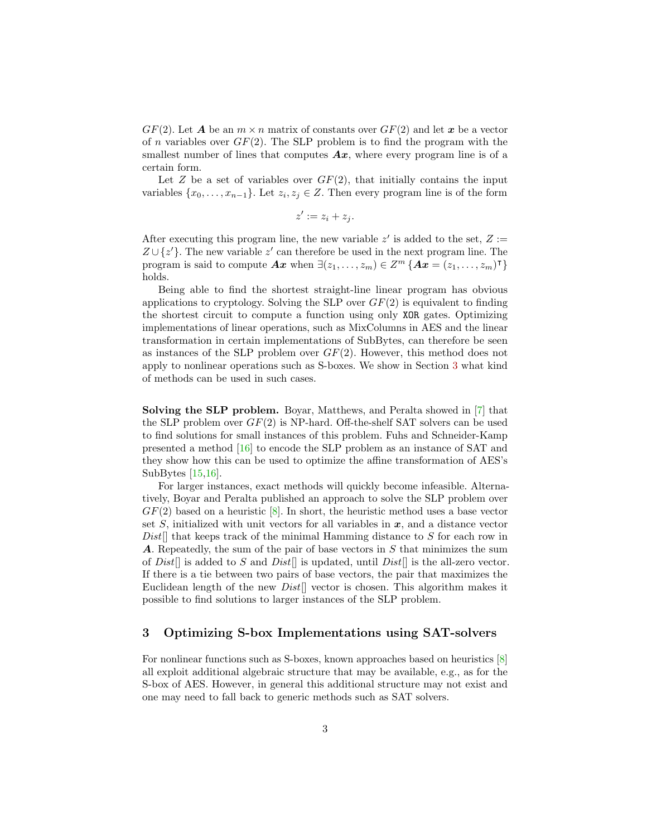$GF(2)$ . Let A be an  $m \times n$  matrix of constants over  $GF(2)$  and let x be a vector of n variables over  $GF(2)$ . The SLP problem is to find the program with the smallest number of lines that computes  $Ax$ , where every program line is of a certain form.

Let  $Z$  be a set of variables over  $GF(2)$ , that initially contains the input variables  $\{x_0, \ldots, x_{n-1}\}$ . Let  $z_i, z_j \in Z$ . Then every program line is of the form

$$
z' := z_i + z_j.
$$

After executing this program line, the new variable  $z'$  is added to the set,  $Z :=$  $Z \cup \{z'\}$ . The new variable  $z'$  can therefore be used in the next program line. The program is said to compute  $\boldsymbol{A}\boldsymbol{x}$  when  $\exists (z_1,\ldots,z_m) \in Z^m \{ \boldsymbol{A}\boldsymbol{x} = (z_1,\ldots,z_m)^\intercal \}$ holds.

Being able to find the shortest straight-line linear program has obvious applications to cryptology. Solving the SLP over  $GF(2)$  is equivalent to finding the shortest circuit to compute a function using only XOR gates. Optimizing implementations of linear operations, such as MixColumns in AES and the linear transformation in certain implementations of SubBytes, can therefore be seen as instances of the SLP problem over  $GF(2)$ . However, this method does not apply to nonlinear operations such as S-boxes. We show in Section [3](#page-2-0) what kind of methods can be used in such cases.

Solving the SLP problem. Boyar, Matthews, and Peralta showed in [\[7\]](#page-14-6) that the SLP problem over  $GF(2)$  is NP-hard. Off-the-shelf SAT solvers can be used to find solutions for small instances of this problem. Fuhs and Schneider-Kamp presented a method [\[16\]](#page-14-7) to encode the SLP problem as an instance of SAT and they show how this can be used to optimize the affine transformation of AES's SubBytes [\[15,](#page-14-8)[16\]](#page-14-7).

For larger instances, exact methods will quickly become infeasible. Alternatively, Boyar and Peralta published an approach to solve the SLP problem over  $GF(2)$  based on a heuristic [\[8\]](#page-14-9). In short, the heuristic method uses a base vector set  $S$ , initialized with unit vectors for all variables in  $x$ , and a distance vector  $Dist[$  that keeps track of the minimal Hamming distance to S for each row in A. Repeatedly, the sum of the pair of base vectors in S that minimizes the sum of Dist<sup>[]</sup> is added to S and Dist<sup>[]</sup> is updated, until Dist<sup>[]</sup> is the all-zero vector. If there is a tie between two pairs of base vectors, the pair that maximizes the Euclidean length of the new  $Dist[]$  vector is chosen. This algorithm makes it possible to find solutions to larger instances of the SLP problem.

#### <span id="page-2-0"></span>3 Optimizing S-box Implementations using SAT-solvers

For nonlinear functions such as S-boxes, known approaches based on heuristics [\[8\]](#page-14-9) all exploit additional algebraic structure that may be available, e.g., as for the S-box of AES. However, in general this additional structure may not exist and one may need to fall back to generic methods such as SAT solvers.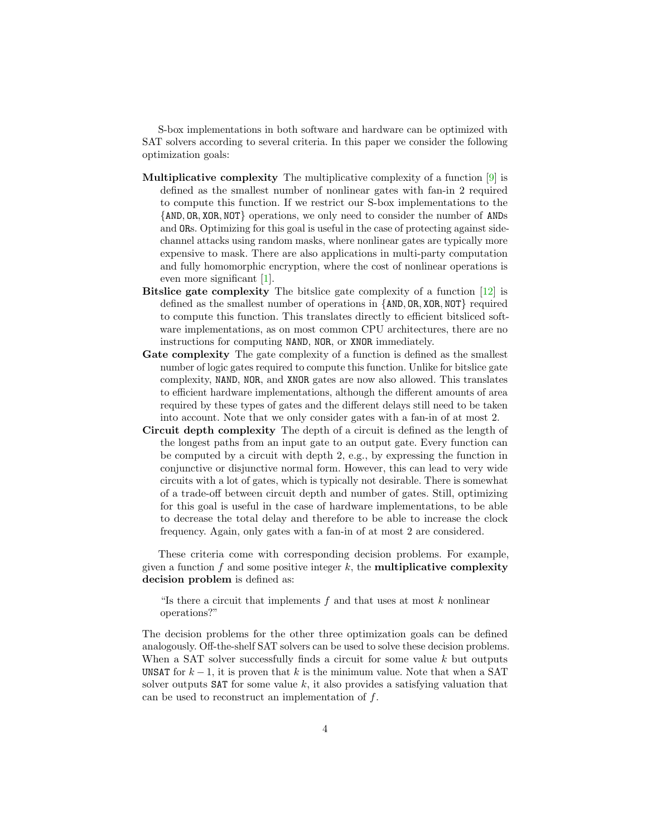S-box implementations in both software and hardware can be optimized with SAT solvers according to several criteria. In this paper we consider the following optimization goals:

- **Multiplicative complexity** The multiplicative complexity of a function  $[9]$  is defined as the smallest number of nonlinear gates with fan-in 2 required to compute this function. If we restrict our S-box implementations to the {AND, OR, XOR, NOT} operations, we only need to consider the number of ANDs and ORs. Optimizing for this goal is useful in the case of protecting against sidechannel attacks using random masks, where nonlinear gates are typically more expensive to mask. There are also applications in multi-party computation and fully homomorphic encryption, where the cost of nonlinear operations is even more significant [\[1\]](#page-13-1).
- Bitslice gate complexity The bitslice gate complexity of a function [\[12\]](#page-14-3) is defined as the smallest number of operations in {AND, OR, XOR, NOT} required to compute this function. This translates directly to efficient bitsliced software implementations, as on most common CPU architectures, there are no instructions for computing NAND, NOR, or XNOR immediately.
- Gate complexity The gate complexity of a function is defined as the smallest number of logic gates required to compute this function. Unlike for bitslice gate complexity, NAND, NOR, and XNOR gates are now also allowed. This translates to efficient hardware implementations, although the different amounts of area required by these types of gates and the different delays still need to be taken into account. Note that we only consider gates with a fan-in of at most 2.
- Circuit depth complexity The depth of a circuit is defined as the length of the longest paths from an input gate to an output gate. Every function can be computed by a circuit with depth 2, e.g., by expressing the function in conjunctive or disjunctive normal form. However, this can lead to very wide circuits with a lot of gates, which is typically not desirable. There is somewhat of a trade-off between circuit depth and number of gates. Still, optimizing for this goal is useful in the case of hardware implementations, to be able to decrease the total delay and therefore to be able to increase the clock frequency. Again, only gates with a fan-in of at most 2 are considered.

These criteria come with corresponding decision problems. For example, given a function  $f$  and some positive integer  $k$ , the **multiplicative complexity** decision problem is defined as:

"Is there a circuit that implements  $f$  and that uses at most  $k$  nonlinear operations?"

The decision problems for the other three optimization goals can be defined analogously. Off-the-shelf SAT solvers can be used to solve these decision problems. When a SAT solver successfully finds a circuit for some value  $k$  but outputs UNSAT for  $k-1$ , it is proven that k is the minimum value. Note that when a SAT solver outputs SAT for some value  $k$ , it also provides a satisfying valuation that can be used to reconstruct an implementation of f.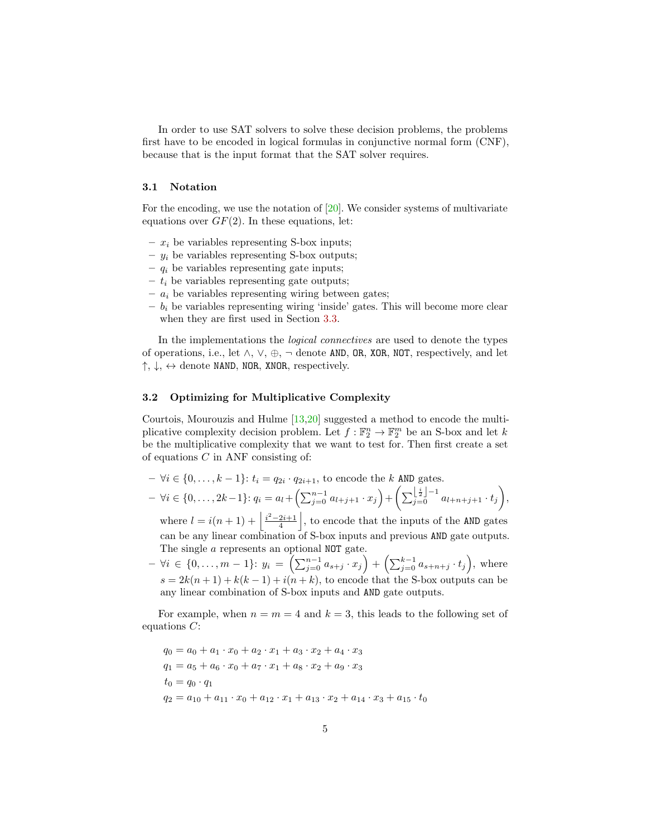In order to use SAT solvers to solve these decision problems, the problems first have to be encoded in logical formulas in conjunctive normal form (CNF), because that is the input format that the SAT solver requires.

#### 3.1 Notation

For the encoding, we use the notation of [\[20\]](#page-15-0). We consider systems of multivariate equations over  $GF(2)$ . In these equations, let:

- $x_i$  be variables representing S-box inputs;
- $y_i$  be variables representing S-box outputs;
- $q_i$  be variables representing gate inputs;
- $t_i$  be variables representing gate outputs;
- $a_i$  be variables representing wiring between gates;
- $b_i$  be variables representing wiring 'inside' gates. This will become more clear when they are first used in Section [3.3.](#page-6-0)

In the implementations the logical connectives are used to denote the types of operations, i.e., let ∧, ∨, ⊕, ¬ denote AND, OR, XOR, NOT, respectively, and let  $\uparrow, \downarrow, \leftrightarrow$  denote NAND, NOR, XNOR, respectively.

#### 3.2 Optimizing for Multiplicative Complexity

Courtois, Mourouzis and Hulme  $[13,20]$  $[13,20]$  suggested a method to encode the multiplicative complexity decision problem. Let  $f : \mathbb{F}_2^n \to \mathbb{F}_2^m$  be an S-box and let k be the multiplicative complexity that we want to test for. Then first create a set of equations  $C$  in ANF consisting of:

 $- \forall i \in \{0, \ldots, k-1\}$ :  $t_i = q_{2i} \cdot q_{2i+1}$ , to encode the k AND gates.  $- \forall i \in \{0, \ldots, 2k-1\}$ :  $q_i = a_l + \left(\sum_{j=0}^{n-1} a_{l+j+1} \cdot x_j\right) + \left(\sum_{j=0}^{\lfloor \frac{i}{2} \rfloor - 1} a_{l+n+j+1} \cdot t_j\right),$ 

where  $l = i(n+1) + \left| \frac{i^2 - 2i + 1}{4} \right|$ , to encode that the inputs of the AND gates can be any linear combination of S-box inputs and previous AND gate outputs. The single  $a$  represents an optional NOT gate.

 $- \forall i \in \{0, \ldots, m-1\}: y_i = \left(\sum_{j=0}^{n-1} a_{s+j} \cdot x_j\right) + \left(\sum_{j=0}^{k-1} a_{s+n+j} \cdot t_j\right)$ , where  $s = 2k(n+1) + k(k-1) + i(n+k)$ , to encode that the S-box outputs can be any linear combination of S-box inputs and AND gate outputs.

For example, when  $n = m = 4$  and  $k = 3$ , this leads to the following set of equations  $C$ :

$$
q_0 = a_0 + a_1 \cdot x_0 + a_2 \cdot x_1 + a_3 \cdot x_2 + a_4 \cdot x_3
$$
  
\n
$$
q_1 = a_5 + a_6 \cdot x_0 + a_7 \cdot x_1 + a_8 \cdot x_2 + a_9 \cdot x_3
$$
  
\n
$$
t_0 = q_0 \cdot q_1
$$
  
\n
$$
q_2 = a_{10} + a_{11} \cdot x_0 + a_{12} \cdot x_1 + a_{13} \cdot x_2 + a_{14} \cdot x_3 + a_{15} \cdot t_0
$$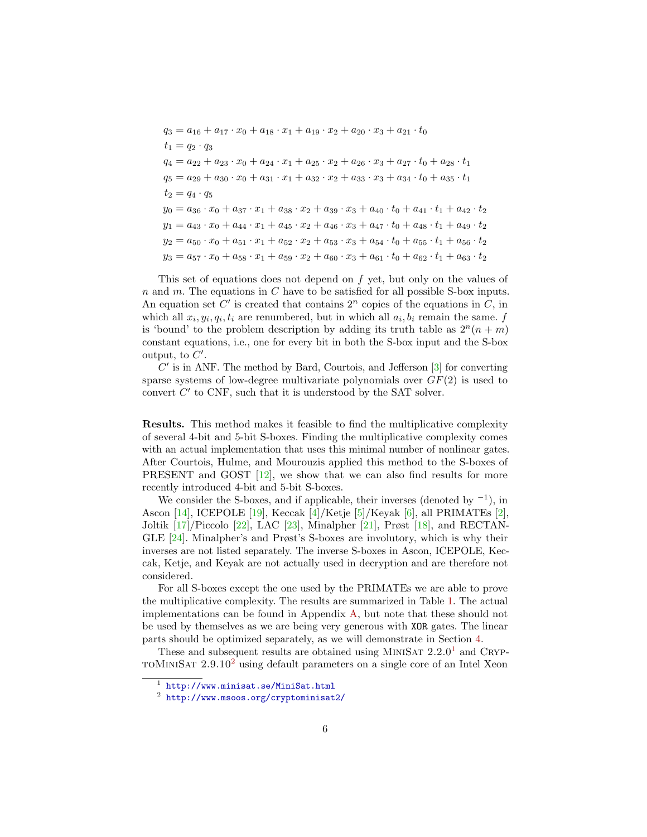$q_3 = a_{16} + a_{17} \cdot x_0 + a_{18} \cdot x_1 + a_{19} \cdot x_2 + a_{20} \cdot x_3 + a_{21} \cdot t_0$  $t_1 = q_2 \cdot q_3$  $q_4 = a_{22} + a_{23} \cdot x_0 + a_{24} \cdot x_1 + a_{25} \cdot x_2 + a_{26} \cdot x_3 + a_{27} \cdot t_0 + a_{28} \cdot t_1$  $q_5 = a_{29} + a_{30} \cdot x_0 + a_{31} \cdot x_1 + a_{32} \cdot x_2 + a_{33} \cdot x_3 + a_{34} \cdot t_0 + a_{35} \cdot t_1$  $t_2 = q_4 \cdot q_5$  $y_0 = a_{36} \cdot x_0 + a_{37} \cdot x_1 + a_{38} \cdot x_2 + a_{39} \cdot x_3 + a_{40} \cdot t_0 + a_{41} \cdot t_1 + a_{42} \cdot t_2$  $y_1 = a_{43} \cdot x_0 + a_{44} \cdot x_1 + a_{45} \cdot x_2 + a_{46} \cdot x_3 + a_{47} \cdot t_0 + a_{48} \cdot t_1 + a_{49} \cdot t_2$  $y_2 = a_{50} \cdot x_0 + a_{51} \cdot x_1 + a_{52} \cdot x_2 + a_{53} \cdot x_3 + a_{54} \cdot t_0 + a_{55} \cdot t_1 + a_{56} \cdot t_2$  $y_3 = a_{57} \cdot x_0 + a_{58} \cdot x_1 + a_{59} \cdot x_2 + a_{60} \cdot x_3 + a_{61} \cdot t_0 + a_{62} \cdot t_1 + a_{63} \cdot t_2$ 

This set of equations does not depend on f yet, but only on the values of  $n$  and  $m$ . The equations in  $C$  have to be satisfied for all possible S-box inputs. An equation set  $C'$  is created that contains  $2<sup>n</sup>$  copies of the equations in  $C$ , in which all  $x_i, y_i, q_i, t_i$  are renumbered, but in which all  $a_i, b_i$  remain the same.  $f$ is 'bound' to the problem description by adding its truth table as  $2^n(n + m)$ constant equations, i.e., one for every bit in both the S-box input and the S-box output, to  $C'$ .

 $C'$  is in ANF. The method by Bard, Courtois, and Jefferson  $\lceil 3 \rceil$  for converting sparse systems of low-degree multivariate polynomials over  $GF(2)$  is used to convert  $C'$  to CNF, such that it is understood by the SAT solver.

Results. This method makes it feasible to find the multiplicative complexity of several 4-bit and 5-bit S-boxes. Finding the multiplicative complexity comes with an actual implementation that uses this minimal number of nonlinear gates. After Courtois, Hulme, and Mourouzis applied this method to the S-boxes of PRESENT and GOST  $[12]$ , we show that we can also find results for more recently introduced 4-bit and 5-bit S-boxes.

We consider the S-boxes, and if applicable, their inverses (denoted by  $^{-1}$ ), in Ascon [\[14\]](#page-14-11), ICEPOLE [\[19\]](#page-15-4), Keccak [\[4\]](#page-14-12)/Ketje [\[5\]](#page-14-13)/Keyak [\[6\]](#page-14-14), all PRIMATEs [\[2\]](#page-13-0). Joltik [\[17\]](#page-14-4)/Piccolo [\[22\]](#page-15-1), LAC [\[23\]](#page-15-2), Minalpher [\[21\]](#page-15-5), Prøst [\[18\]](#page-14-5), and RECTAN-GLE [\[24\]](#page-15-3). Minalpher's and Prøst's S-boxes are involutory, which is why their inverses are not listed separately. The inverse S-boxes in Ascon, ICEPOLE, Keccak, Ketje, and Keyak are not actually used in decryption and are therefore not considered.

For all S-boxes except the one used by the PRIMATEs we are able to prove the multiplicative complexity. The results are summarized in Table [1.](#page-6-1) The actual implementations can be found in Appendix [A,](#page-15-6) but note that these should not be used by themselves as we are being very generous with XOR gates. The linear parts should be optimized separately, as we will demonstrate in Section [4.](#page-10-0)

These and subsequent results are obtained using MINISAT  $2.2.0<sup>1</sup>$  $2.2.0<sup>1</sup>$  $2.2.0<sup>1</sup>$  and CRYP-TOMINISAT  $2.9.10^2$  $2.9.10^2$  using default parameters on a single core of an Intel Xeon

<sup>1</sup> <http://www.minisat.se/MiniSat.html>

<sup>2</sup> <http://www.msoos.org/cryptominisat2/>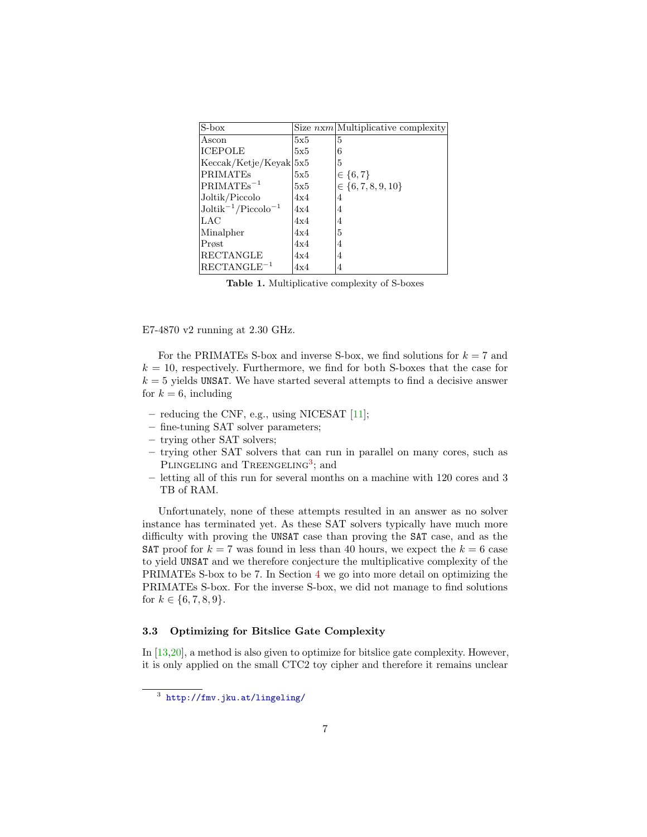| S-box                      |     | Size $n \times m$ Multiplicative complexity |
|----------------------------|-----|---------------------------------------------|
| Ascon                      | 5x5 | 5                                           |
| ICEPOLE                    | 5x5 | 6                                           |
| Keccak/Ketje/Keyak         | 5x5 | 5                                           |
| <b>PRIMATES</b>            | 5x5 | $\in \{6, 7\}$                              |
| $ \rm{PRIMATES}^{-1}$      | 5x5 | $\in \{6, 7, 8, 9, 10\}$                    |
| Joltik/Piccolo             | 4x4 | 4                                           |
| $Joltik^{-1}/Piccolo^{-1}$ | 4x4 | 4                                           |
| LAC                        | 4x4 | 4                                           |
| Minalpher                  | 4x4 | 5                                           |
| Prøst                      | 4x4 | 4                                           |
| <b>RECTANGLE</b>           | 4x4 | 4                                           |
| $\mathrm{RECTANGLE^{-1}}$  | 4x4 | 4                                           |

<span id="page-6-1"></span>Table 1. Multiplicative complexity of S-boxes

E7-4870 v2 running at 2.30 GHz.

For the PRIMATEs S-box and inverse S-box, we find solutions for  $k = 7$  and  $k = 10$ , respectively. Furthermore, we find for both S-boxes that the case for  $k = 5$  yields UNSAT. We have started several attempts to find a decisive answer for  $k = 6$ , including

- reducing the CNF, e.g., using NICESAT [\[11\]](#page-14-15);
- fine-tuning SAT solver parameters;
- trying other SAT solvers;
- trying other SAT solvers that can run in parallel on many cores, such as PLINGELING and TREENGELING<sup>[3](#page-0-0)</sup>; and
- letting all of this run for several months on a machine with 120 cores and 3 TB of RAM.

Unfortunately, none of these attempts resulted in an answer as no solver instance has terminated yet. As these SAT solvers typically have much more difficulty with proving the UNSAT case than proving the SAT case, and as the SAT proof for  $k = 7$  was found in less than 40 hours, we expect the  $k = 6$  case to yield UNSAT and we therefore conjecture the multiplicative complexity of the PRIMATEs S-box to be 7. In Section [4](#page-10-0) we go into more detail on optimizing the PRIMATEs S-box. For the inverse S-box, we did not manage to find solutions for  $k \in \{6, 7, 8, 9\}.$ 

#### <span id="page-6-0"></span>3.3 Optimizing for Bitslice Gate Complexity

In [\[13,](#page-14-1)[20\]](#page-15-0), a method is also given to optimize for bitslice gate complexity. However, it is only applied on the small CTC2 toy cipher and therefore it remains unclear

<sup>3</sup> <http://fmv.jku.at/lingeling/>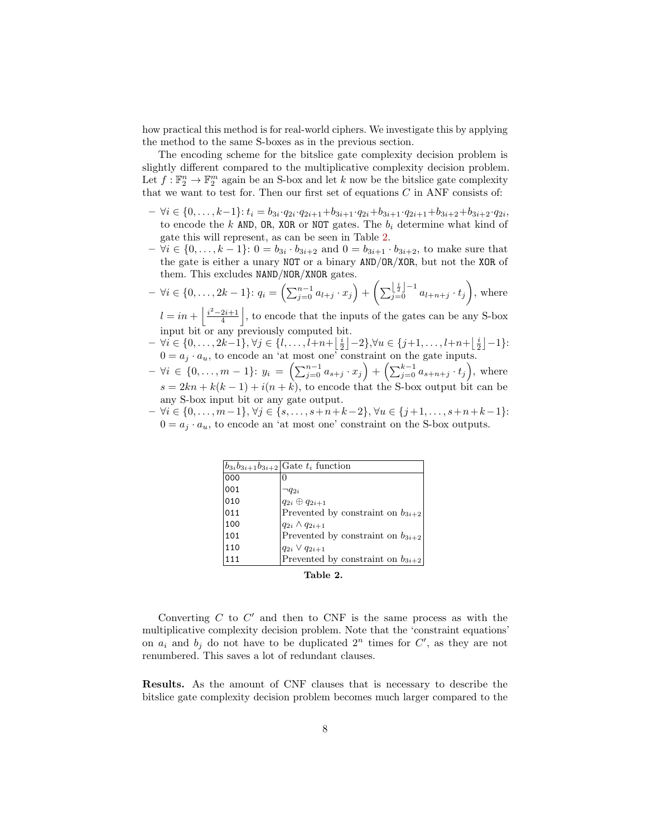how practical this method is for real-world ciphers. We investigate this by applying the method to the same S-boxes as in the previous section.

The encoding scheme for the bitslice gate complexity decision problem is slightly different compared to the multiplicative complexity decision problem. Let  $f: \mathbb{F}_2^n \to \mathbb{F}_2^m$  again be an S-box and let k now be the bitslice gate complexity that we want to test for. Then our first set of equations  $C$  in ANF consists of:

- $\forall i \in \{0, \ldots, k-1\}$ :  $t_i = b_{3i} \cdot q_{2i} \cdot q_{2i+1} + b_{3i+1} \cdot q_{2i} + b_{3i+1} \cdot q_{2i+1} + b_{3i+2} + b_{3i+2} \cdot q_{2i},$ to encode the k AND, OR, XOR or NOT gates. The  $b_i$  determine what kind of gate this will represent, as can be seen in Table [2.](#page-7-0)
- $\forall i \in \{0, \ldots, k-1\}$ :  $0 = b_{3i} \cdot b_{3i+2}$  and  $0 = b_{3i+1} \cdot b_{3i+2}$ , to make sure that the gate is either a unary NOT or a binary AND/OR/XOR, but not the XOR of them. This excludes NAND/NOR/XNOR gates.
- $\forall i \in \{0, ..., 2k-1\}$ :  $q_i = \left( \sum_{j=0}^{n-1} a_{l+j} \cdot x_j \right) + \left( \sum_{j=0}^{\lfloor \frac{i}{2} \rfloor 1} a_{l+n+j} \cdot t_j \right)$ , where
- $l = in + \left\lfloor \frac{i^2 2i + 1}{4} \right\rfloor$ , to encode that the inputs of the gates can be any S-box input bit or any previously computed bit.
- $\forall i \in \{0, \ldots, 2k-1\}, \forall j \in \{l, \ldots, \overline{l}+n+\lfloor \frac{i}{2} \rfloor-2\}, \forall u \in \{j+1, \ldots, \overline{l}+n+\lfloor \frac{i}{2} \rfloor-1\}$ :  $0 = a_j \cdot a_u$ , to encode an 'at most one' constraint on the gate inputs.
- $\forall i \in \{0, \ldots, m-1\}: y_i = \left(\sum_{j=0}^{n-1} a_{s+j} \cdot x_j\right) + \left(\sum_{j=0}^{k-1} a_{s+n+j} \cdot t_j\right)$ , where  $s = 2kn + k(k-1) + i(n+k)$ , to encode that the S-box output bit can be any S-box input bit or any gate output.
- ∀i ∈ {0, . . . , m−1}, ∀j ∈ {s, . . . , s+n+k−2}, ∀u ∈ {j + 1, . . . , s+n+k−1}:  $0 = a_i \cdot a_u$ , to encode an 'at most one' constraint on the S-box outputs.

|     | $ b_{3i}b_{3i+1}b_{3i+2} $ Gate $t_i$ function |
|-----|------------------------------------------------|
| 000 |                                                |
| 001 | $\neg q_{2i}$                                  |
| 010 | $q_{2i}\oplus q_{2i+1}$                        |
| 011 | Prevented by constraint on $b_{3i+2}$          |
| 100 | $q_{2i} \wedge q_{2i+1}$                       |
| 101 | Prevented by constraint on $b_{3i+2}$          |
| 110 | $q_{2i} \vee q_{2i+1}$                         |
| 111 | Prevented by constraint on $b_{3i+2}$          |

<span id="page-7-0"></span>Table 2.

Converting  $C$  to  $C'$  and then to CNF is the same process as with the multiplicative complexity decision problem. Note that the 'constraint equations' on  $a_i$  and  $b_j$  do not have to be duplicated  $2^n$  times for  $C'$ , as they are not renumbered. This saves a lot of redundant clauses.

Results. As the amount of CNF clauses that is necessary to describe the bitslice gate complexity decision problem becomes much larger compared to the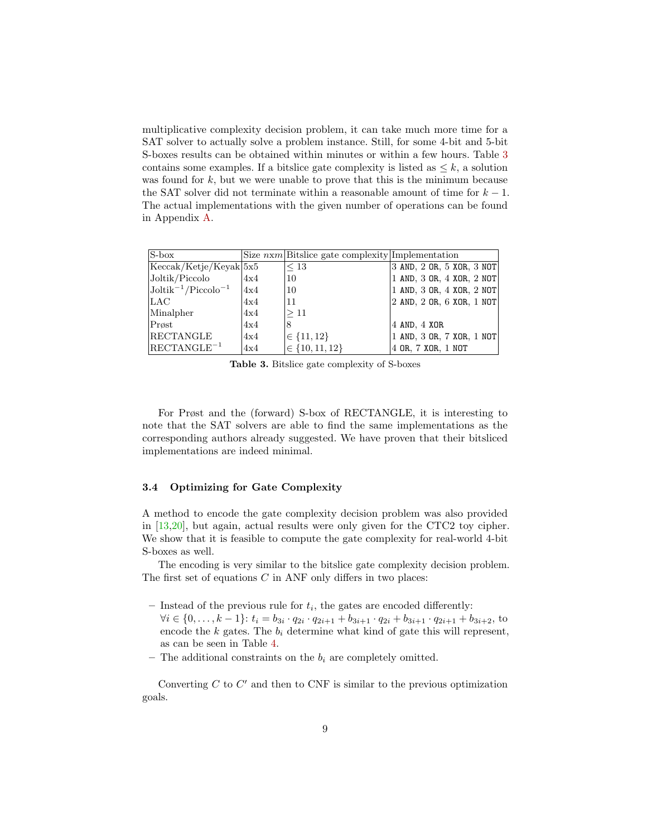multiplicative complexity decision problem, it can take much more time for a SAT solver to actually solve a problem instance. Still, for some 4-bit and 5-bit S-boxes results can be obtained within minutes or within a few hours. Table [3](#page-8-0) contains some examples. If a bitslice gate complexity is listed as  $\leq k$ , a solution was found for  $k$ , but we were unable to prove that this is the minimum because the SAT solver did not terminate within a reasonable amount of time for  $k - 1$ . The actual implementations with the given number of operations can be found in Appendix [A.](#page-15-6)

| $S-box$                    |     | Size $n \times m$ Bitslice gate complexity Implementation |                           |
|----------------------------|-----|-----------------------------------------------------------|---------------------------|
| Keccak/Ketie/Keyak 5x5     |     | $\vert$ $< 13$                                            | 3 AND, 2 OR, 5 XOR, 3 NOT |
| Joltik/Piccolo             | 4x4 | 10                                                        | 1 AND, 3 OR, 4 XOR, 2 NOT |
| $Joltik^{-1}/Piccolo^{-1}$ | 4x4 | 10                                                        | 1 AND, 3 OR, 4 XOR, 2 NOT |
| <b>LAC</b>                 | 4x4 | 11                                                        | 2 AND, 2 OR, 6 XOR, 1 NOT |
| Minalpher                  | 4x4 | >11                                                       |                           |
| Prøst                      | 4x4 | 18                                                        | 4 AND, 4 XOR              |
| RECTANGLE                  | 4x4 | $\in \{11, 12\}$                                          | 1 AND, 3 OR, 7 XOR, 1 NOT |
| $RECTANGLE^{-1}$           | 4x4 | $\in \{10, 11, 12\}$                                      | 4 OR, 7 XOR, 1 NOT        |

<span id="page-8-0"></span>Table 3. Bitslice gate complexity of S-boxes

For Prøst and the (forward) S-box of RECTANGLE, it is interesting to note that the SAT solvers are able to find the same implementations as the corresponding authors already suggested. We have proven that their bitsliced implementations are indeed minimal.

#### 3.4 Optimizing for Gate Complexity

A method to encode the gate complexity decision problem was also provided in [\[13,](#page-14-1)[20\]](#page-15-0), but again, actual results were only given for the CTC2 toy cipher. We show that it is feasible to compute the gate complexity for real-world 4-bit S-boxes as well.

The encoding is very similar to the bitslice gate complexity decision problem. The first set of equations  $C$  in ANF only differs in two places:

- $-$  Instead of the previous rule for  $t_i$ , the gates are encoded differently:
- $\forall i \in \{0, \ldots, k-1\}$ :  $t_i = b_{3i} \cdot q_{2i} \cdot q_{2i+1} + b_{3i+1} \cdot q_{2i} + b_{3i+1} \cdot q_{2i+1} + b_{3i+2}$ , to encode the  $k$  gates. The  $b_i$  determine what kind of gate this will represent, as can be seen in Table [4.](#page-9-1)
- The additional constraints on the  $b_i$  are completely omitted.

Converting  $C$  to  $C'$  and then to CNF is similar to the previous optimization goals.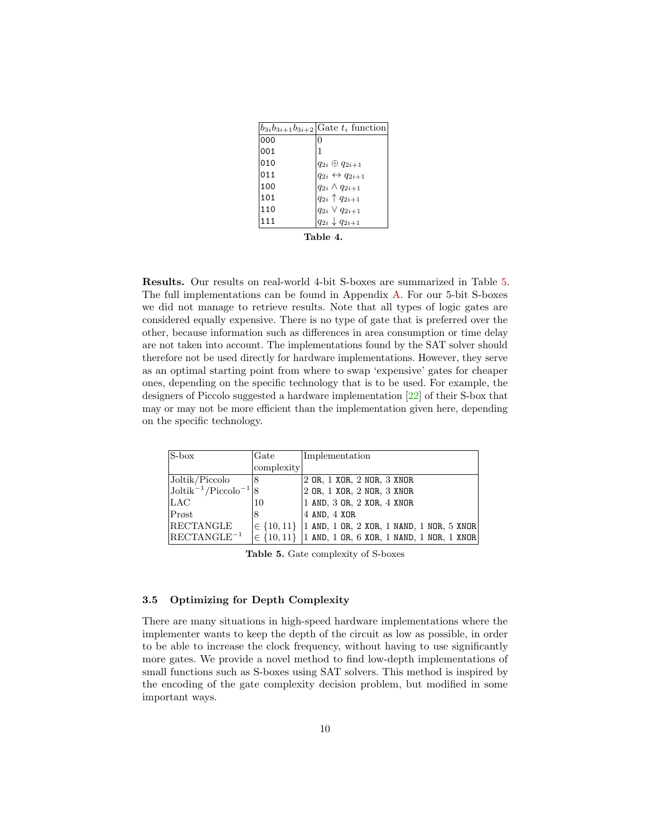|     | $b_{3i}b_{3i+1}b_{3i+2}$ Gate $t_i$ function |
|-----|----------------------------------------------|
| 000 | 0                                            |
| 001 | 1                                            |
| 010 | $q_{2i}\oplus q_{2i+1}$                      |
| 011 | $q_{2i} \leftrightarrow q_{2i+1}$            |
| 100 | $q_{2i} \wedge q_{2i+1}$                     |
| 101 | $q_{2i} \uparrow q_{2i+1}$                   |
| 110 | $q_{2i} \vee q_{2i+1}$                       |
| 111 | $q_{2i} \downarrow q_{2i+1}$                 |
|     | .                                            |

<span id="page-9-1"></span>Table 4.

Results. Our results on real-world 4-bit S-boxes are summarized in Table [5.](#page-9-2) The full implementations can be found in Appendix [A.](#page-15-6) For our 5-bit S-boxes we did not manage to retrieve results. Note that all types of logic gates are considered equally expensive. There is no type of gate that is preferred over the other, because information such as differences in area consumption or time delay are not taken into account. The implementations found by the SAT solver should therefore not be used directly for hardware implementations. However, they serve as an optimal starting point from where to swap 'expensive' gates for cheaper ones, depending on the specific technology that is to be used. For example, the designers of Piccolo suggested a hardware implementation [\[22\]](#page-15-1) of their S-box that may or may not be more efficient than the implementation given here, depending on the specific technology.

| S-box                        | Gate       | Implementation                                               |
|------------------------------|------------|--------------------------------------------------------------|
|                              | complexity |                                                              |
| Joltik/Piccolo               |            | $ 2$ or, $1$ xor, $2$ nor, $3$ xnor                          |
| $Joltik^{-1}/Piccolo^{-1}$ 8 |            | 2 OR, 1 XOR, 2 NOR, 3 XNOR                                   |
| LAC                          | 10         | 1 AND, 3 OR, 2 XOR, 4 XNOR                                   |
| Prøst                        |            | 4 AND, 4 XOR                                                 |
| RECTANGLE                    |            | $\in \{10, 11\}$   1 AND, 1 OR, 2 XOR, 1 NAND, 1 NOR, 5 XNOR |
| $RECTANGLE^{-1}$             |            | $\in \{10, 11\}$   1 AND, 1 OR, 6 XOR, 1 NAND, 1 NOR, 1 XNOR |

<span id="page-9-2"></span>Table 5. Gate complexity of S-boxes

#### <span id="page-9-0"></span>3.5 Optimizing for Depth Complexity

There are many situations in high-speed hardware implementations where the implementer wants to keep the depth of the circuit as low as possible, in order to be able to increase the clock frequency, without having to use significantly more gates. We provide a novel method to find low-depth implementations of small functions such as S-boxes using SAT solvers. This method is inspired by the encoding of the gate complexity decision problem, but modified in some important ways.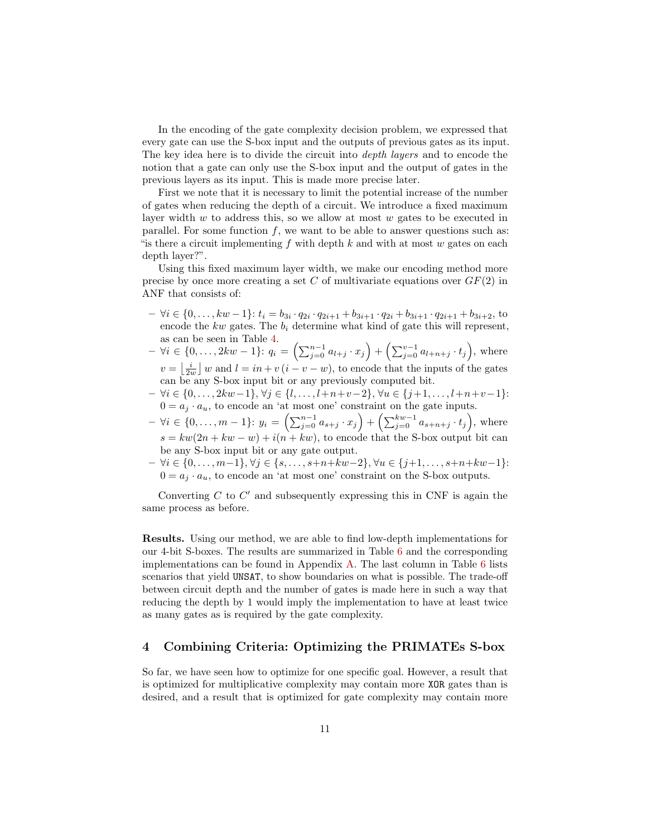In the encoding of the gate complexity decision problem, we expressed that every gate can use the S-box input and the outputs of previous gates as its input. The key idea here is to divide the circuit into depth layers and to encode the notion that a gate can only use the S-box input and the output of gates in the previous layers as its input. This is made more precise later.

First we note that it is necessary to limit the potential increase of the number of gates when reducing the depth of a circuit. We introduce a fixed maximum layer width w to address this, so we allow at most w gates to be executed in parallel. For some function  $f$ , we want to be able to answer questions such as: "is there a circuit implementing f with depth  $k$  and with at most  $w$  gates on each depth layer?".

Using this fixed maximum layer width, we make our encoding method more precise by once more creating a set C of multivariate equations over  $GF(2)$  in ANF that consists of:

- $\forall i \in \{0, \ldots, kw-1\}$ :  $t_i = b_{3i} \cdot q_{2i} \cdot q_{2i+1} + b_{3i+1} \cdot q_{2i} + b_{3i+1} \cdot q_{2i+1} + b_{3i+2}$ , to encode the  $kw$  gates. The  $b_i$  determine what kind of gate this will represent, as can be seen in Table [4.](#page-9-1)
- $\forall i \in \{0, \ldots, 2kw 1\}: q_i = \left(\sum_{j=0}^{n-1} a_{l+j} \cdot x_j\right) + \left(\sum_{j=0}^{v-1} a_{l+n+j} \cdot t_j\right)$ , where  $v = \left\lfloor \frac{i}{2w} \right\rfloor w$  and  $l = in + v (i - v - w)$ , to encode that the inputs of the gates can be any S-box input bit or any previously computed bit.
- ∀i ∈ {0, . . . , 2kw−1}, ∀j ∈ {l, . . . , l+n+v−2}, ∀u ∈ {j+1, . . . , l+n+v−1}:  $0 = a_j \cdot a_u$ , to encode an 'at most one' constraint on the gate inputs.
- $\forall i \in \{0, ..., m-1\}: y_i = \left(\sum_{j=0}^{n-1} a_{s+j} \cdot x_j\right) + \left(\sum_{j=0}^{kw-1} a_{s+n+j} \cdot t_j\right)$ , where  $s = kw(2n + kw - w) + i(n + kw)$ , to encode that the S-box output bit can be any S-box input bit or any gate output.
- ∀i ∈ {0, . . . , m−1}, ∀j ∈ {s, . . . , s+n+kw−2}, ∀u ∈ {j+1, . . . , s+n+kw−1}:  $0 = a_j \cdot a_u$ , to encode an 'at most one' constraint on the S-box outputs.

Converting  $C$  to  $C'$  and subsequently expressing this in CNF is again the same process as before.

Results. Using our method, we are able to find low-depth implementations for our 4-bit S-boxes. The results are summarized in Table [6](#page-11-0) and the corresponding implementations can be found in Appendix [A.](#page-15-6) The last column in Table [6](#page-11-0) lists scenarios that yield UNSAT, to show boundaries on what is possible. The trade-off between circuit depth and the number of gates is made here in such a way that reducing the depth by 1 would imply the implementation to have at least twice as many gates as is required by the gate complexity.

#### <span id="page-10-0"></span>4 Combining Criteria: Optimizing the PRIMATEs S-box

So far, we have seen how to optimize for one specific goal. However, a result that is optimized for multiplicative complexity may contain more XOR gates than is desired, and a result that is optimized for gate complexity may contain more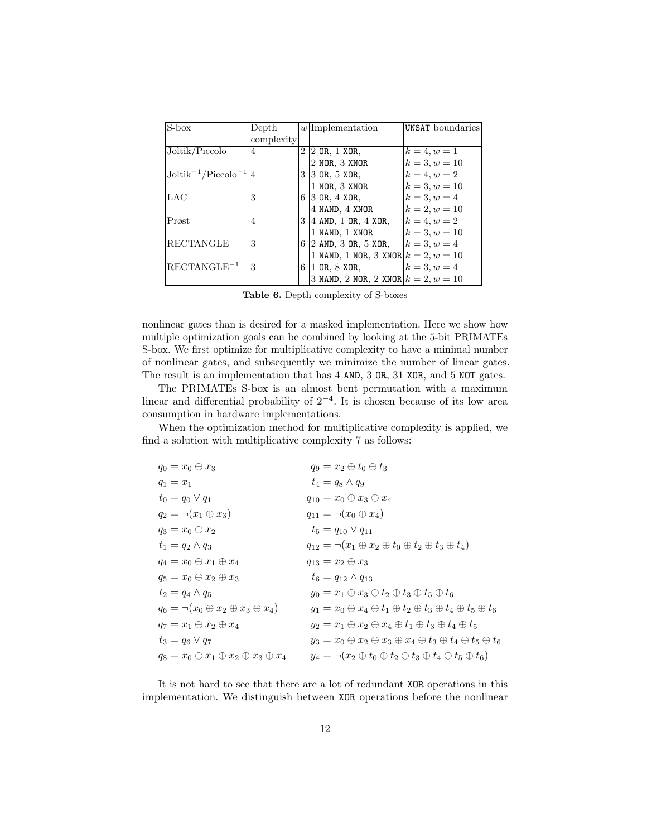| S-box                                   | Depth      |                | $w$  Implementation                                        | UNSAT boundaries |
|-----------------------------------------|------------|----------------|------------------------------------------------------------|------------------|
|                                         | complexity |                |                                                            |                  |
| Joltik/Piccolo                          | 4          | $\overline{2}$ | $ 2$ OR, 1 XOR,                                            | $k = 4, w = 1$   |
|                                         |            |                | 2 NOR, 3 XNOR                                              | $k = 3, w = 10$  |
| $Joltik^{-1}/Piccolo^{-1}$ <sup>4</sup> |            | 3              | $3$ OR, $5$ XOR,                                           | $k = 4, w = 2$   |
|                                         |            |                | 1 NOR, 3 XNOR                                              | $k = 3, w = 10$  |
| LAC                                     | 3          |                | $6 3$ OR, 4 XOR,                                           | $k = 3, w = 4$   |
|                                         |            |                | 4 NAND, 4 XNOR                                             | $k = 2, w = 10$  |
| Prøst                                   | 4          |                | $3 \;   4 \; \text{AND}, 1 \; \text{OR}, 4 \; \text{XOR},$ | $k = 4, w = 2$   |
|                                         |            |                | 1 NAND, 1 XNOR                                             | $k = 3, w = 10$  |
| <b>RECTANGLE</b>                        | 3          | 6              | $ 2$ AND, $3$ OR, $5$ XOR,                                 | $k = 3, w = 4$   |
|                                         |            |                | 1 NAND, 1 NOR, 3 XNOR $k = 2, w = 10$                      |                  |
| $RECTANGLE^{-1}$                        | 3          | 6              | 1 OR, 8 XOR,                                               | $k = 3, w = 4$   |
|                                         |            |                | 3 NAND, 2 NOR, 2 XNOR $k = 2, w = 10$                      |                  |

<span id="page-11-0"></span>Table 6. Depth complexity of S-boxes

nonlinear gates than is desired for a masked implementation. Here we show how multiple optimization goals can be combined by looking at the 5-bit PRIMATEs S-box. We first optimize for multiplicative complexity to have a minimal number of nonlinear gates, and subsequently we minimize the number of linear gates. The result is an implementation that has 4 AND, 3 OR, 31 XOR, and 5 NOT gates.

The PRIMATEs S-box is an almost bent permutation with a maximum linear and differential probability of 2<sup>−</sup><sup>4</sup> . It is chosen because of its low area consumption in hardware implementations.

When the optimization method for multiplicative complexity is applied, we find a solution with multiplicative complexity 7 as follows:

| $q_9 = x_2 \oplus t_0 \oplus t_3$                                                        |
|------------------------------------------------------------------------------------------|
| $t_4 = q_8 \wedge q_9$                                                                   |
| $q_{10}=x_0\oplus x_3\oplus x_4$                                                         |
| $q_{11} = \neg(x_0 \oplus x_4)$                                                          |
| $t_5 = q_{10} \vee q_{11}$                                                               |
| $q_{12} = \neg(x_1 \oplus x_2 \oplus t_0 \oplus t_2 \oplus t_3 \oplus t_4)$              |
| $q_{13} = x_2 \oplus x_3$                                                                |
| $t_6 = q_{12} \wedge q_{13}$                                                             |
| $y_0 = x_1 \oplus x_3 \oplus t_2 \oplus t_3 \oplus t_5 \oplus t_6$                       |
| $y_1 = x_0 \oplus x_4 \oplus t_1 \oplus t_2 \oplus t_3 \oplus t_4 \oplus t_5 \oplus t_6$ |
| $y_2 = x_1 \oplus x_2 \oplus x_4 \oplus t_1 \oplus t_3 \oplus t_4 \oplus t_5$            |
| $y_3 = x_0 \oplus x_2 \oplus x_3 \oplus x_4 \oplus t_3 \oplus t_4 \oplus t_5 \oplus t_6$ |
| $y_4 = \neg(x_2 \oplus t_0 \oplus t_2 \oplus t_3 \oplus t_4 \oplus t_5 \oplus t_6)$      |
|                                                                                          |

It is not hard to see that there are a lot of redundant XOR operations in this implementation. We distinguish between XOR operations before the nonlinear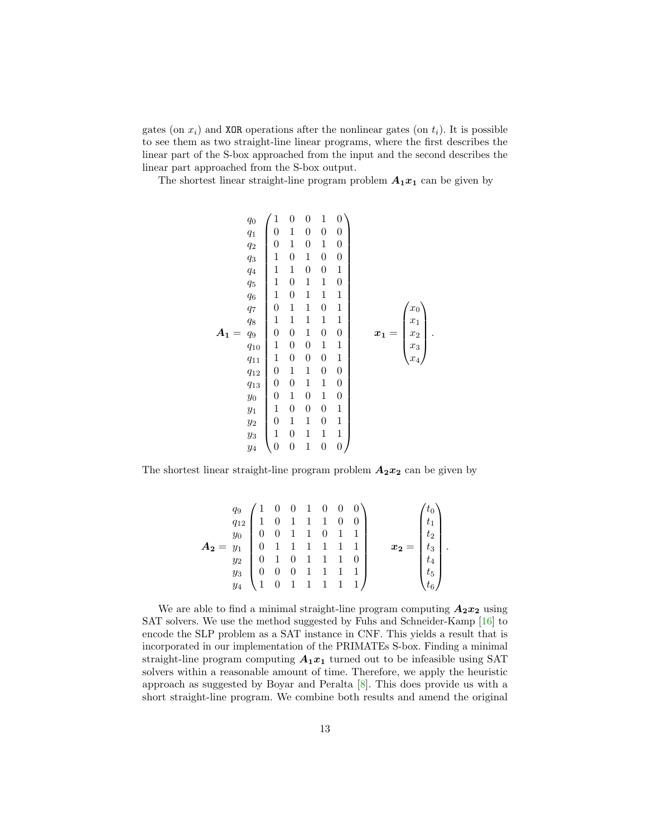gates (on  $x_i$ ) and XOR operations after the nonlinear gates (on  $t_i$ ). It is possible to see them as two straight-line linear programs, where the first describes the linear part of the S-box approached from the input and the second describes the linear part approached from the S-box output.

The shortest linear straight-line program problem  $A_1x_1$  can be given by

$$
\begin{array}{c|c|lr}\hline q_0&\left( \begin{array}{cccccc} 1&0&0&1&0\\ q_1&0&1&0&0&0\\ q_2&0&1&0&1&0\\ q_3&1&0&1&0&0\\ q_4&1&1&0&0&1\\ q_5&1&0&1&1&0\\ q_6&1&0&1&1&1\\ q_7&0&1&1&0&1\\ q_8&1&1&1&1&1\\ q_8&1&1&0&1&0\\ q_{10}&1&0&0&1&1\\ q_{11}&1&0&0&0&1\\ q_{12}&0&1&1&0&0\\ q_{13}&0&0&1&1&0\\ q_9&0&1&0&1&0\\ q_1&1&0&0&0&1\\ y_1&1&0&0&0&1\\ y_2&0&1&1&0&1\\ y_3&1&0&1&1&1\\ y_4&0&0&1&0&0 \end{array}\right)\end{array}x_1=\begin{pmatrix} x_0\\ x_1\\ x_2\\ x_3\\ x_4 \end{pmatrix}.
$$

The shortest linear straight-line program problem  $A_2x_2$  can be given by

$$
A_2 = \begin{pmatrix} 1 & 0 & 0 & 1 & 0 & 0 & 0 \\ q_{12} & 1 & 0 & 1 & 1 & 1 & 0 & 0 \\ 0 & 0 & 1 & 1 & 1 & 0 & 1 & 1 \\ 0 & 1 & 1 & 1 & 1 & 1 & 1 & 1 \\ y_2 & 0 & 1 & 0 & 1 & 1 & 1 & 0 \\ y_3 & 0 & 0 & 0 & 1 & 1 & 1 & 1 \\ 1 & 0 & 1 & 1 & 1 & 1 & 1 & 1 \end{pmatrix} \qquad x_2 = \begin{pmatrix} t_0 \\ t_1 \\ t_2 \\ t_3 \\ t_4 \\ t_5 \\ t_6 \end{pmatrix}.
$$

We are able to find a minimal straight-line program computing  $A_2x_2$  using SAT solvers. We use the method suggested by Fuhs and Schneider-Kamp [\[16\]](#page-14-7) to encode the SLP problem as a SAT instance in CNF. This yields a result that is incorporated in our implementation of the PRIMATEs S-box. Finding a minimal straight-line program computing  $A_1x_1$  turned out to be infeasible using SAT solvers within a reasonable amount of time. Therefore, we apply the heuristic approach as suggested by Boyar and Peralta [\[8\]](#page-14-9). This does provide us with a short straight-line program. We combine both results and amend the original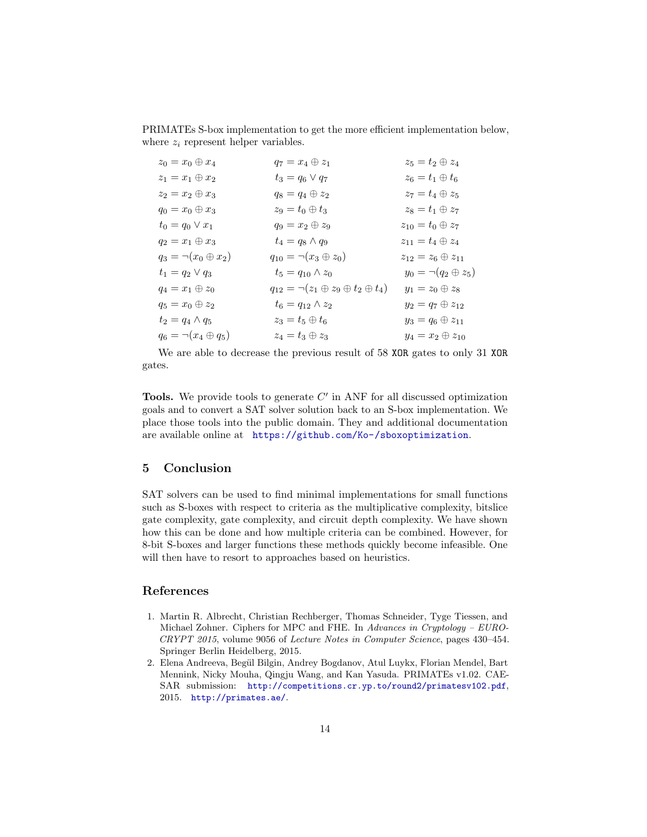PRIMATEs S-box implementation to get the more efficient implementation below, where  $z_i$  represent helper variables.

| $z_0=x_0\oplus x_4$          | $q_7=x_4\oplus z_1$                                    | $z_5=t_2\oplus z_4$           |
|------------------------------|--------------------------------------------------------|-------------------------------|
| $z_1=x_1\oplus x_2$          | $t_3 = q_6 \vee q_7$                                   | $z_6=t_1\oplus t_6$           |
| $z_2=x_2\oplus x_3$          | $q_8 = q_4 \oplus z_2$                                 | $z_7=t_4\oplus z_5$           |
| $q_0 = x_0 \oplus x_3$       | $z_9=t_0\oplus t_3$                                    | $z_8=t_1\oplus z_7$           |
| $t_0 = q_0 \vee x_1$         | $q_9=x_2\oplus z_9$                                    | $z_{10} = t_0 \oplus z_7$     |
| $q_2 = x_1 \oplus x_3$       | $t_4 = q_8 \wedge q_9$                                 | $z_{11} = t_4 \oplus z_4$     |
| $q_3 = \neg(x_0 \oplus x_2)$ | $q_{10} = \neg(x_3 \oplus z_0)$                        | $z_{12}=z_6\oplus z_{11}$     |
| $t_1 = q_2 \vee q_3$         | $t_5 = q_{10} \wedge z_0$                              | $y_0 = \neg (q_2 \oplus z_5)$ |
| $q_4=x_1\oplus z_0$          | $q_{12} = \neg (z_1 \oplus z_9 \oplus t_2 \oplus t_4)$ | $y_1 = z_0 \oplus z_8$        |
| $q_5=x_0\oplus z_2$          | $t_6 = q_{12} \wedge z_2$                              | $y_2 = q_7 \oplus z_{12}$     |
| $t_2 = q_4 \wedge q_5$       | $z_3=t_5\oplus t_6$                                    | $y_3 = q_6 \oplus z_{11}$     |
| $q_6 = \neg(x_4 \oplus q_5)$ | $z_4=t_3\oplus z_3$                                    | $y_4 = x_2 \oplus z_{10}$     |

We are able to decrease the previous result of 58 XOR gates to only 31 XOR gates.

**Tools.** We provide tools to generate  $C'$  in ANF for all discussed optimization goals and to convert a SAT solver solution back to an S-box implementation. We place those tools into the public domain. They and additional documentation are available online at <https://github.com/Ko-/sboxoptimization>.

#### 5 Conclusion

SAT solvers can be used to find minimal implementations for small functions such as S-boxes with respect to criteria as the multiplicative complexity, bitslice gate complexity, gate complexity, and circuit depth complexity. We have shown how this can be done and how multiple criteria can be combined. However, for 8-bit S-boxes and larger functions these methods quickly become infeasible. One will then have to resort to approaches based on heuristics.

### References

- <span id="page-13-1"></span>1. Martin R. Albrecht, Christian Rechberger, Thomas Schneider, Tyge Tiessen, and Michael Zohner. Ciphers for MPC and FHE. In Advances in Cryptology – EURO-CRYPT 2015, volume 9056 of Lecture Notes in Computer Science, pages 430–454. Springer Berlin Heidelberg, 2015.
- <span id="page-13-0"></span>2. Elena Andreeva, Begül Bilgin, Andrey Bogdanov, Atul Luykx, Florian Mendel, Bart Mennink, Nicky Mouha, Qingju Wang, and Kan Yasuda. PRIMATEs v1.02. CAE-SAR submission: <http://competitions.cr.yp.to/round2/primatesv102.pdf>, 2015. <http://primates.ae/>.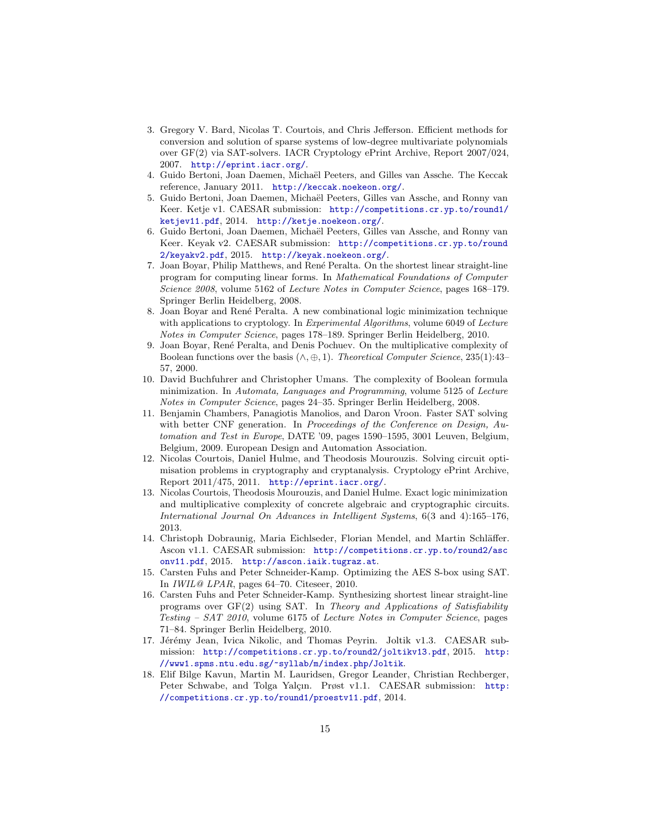- <span id="page-14-10"></span>3. Gregory V. Bard, Nicolas T. Courtois, and Chris Jefferson. Efficient methods for conversion and solution of sparse systems of low-degree multivariate polynomials over GF(2) via SAT-solvers. IACR Cryptology ePrint Archive, Report 2007/024, 2007. <http://eprint.iacr.org/>.
- <span id="page-14-12"></span>4. Guido Bertoni, Joan Daemen, Michaël Peeters, and Gilles van Assche. The Keccak reference, January 2011. <http://keccak.noekeon.org/>.
- <span id="page-14-13"></span>5. Guido Bertoni, Joan Daemen, Michaël Peeters, Gilles van Assche, and Ronny van Keer. Ketje v1. CAESAR submission: [http://competitions.cr.yp.to/round1/](http://competitions.cr.yp.to/round1/ketjev11.pdf) [ketjev11.pdf](http://competitions.cr.yp.to/round1/ketjev11.pdf), 2014. <http://ketje.noekeon.org/>.
- <span id="page-14-14"></span>6. Guido Bertoni, Joan Daemen, Michaël Peeters, Gilles van Assche, and Ronny van Keer. Keyak v2. CAESAR submission: [http://competitions.cr.yp.to/round](http://competitions.cr.yp.to/round2/keyakv2.pdf) [2/keyakv2.pdf](http://competitions.cr.yp.to/round2/keyakv2.pdf), 2015. <http://keyak.noekeon.org/>.
- <span id="page-14-6"></span>7. Joan Boyar, Philip Matthews, and René Peralta. On the shortest linear straight-line program for computing linear forms. In Mathematical Foundations of Computer Science 2008, volume 5162 of Lecture Notes in Computer Science, pages 168–179. Springer Berlin Heidelberg, 2008.
- <span id="page-14-9"></span>8. Joan Boyar and René Peralta. A new combinational logic minimization technique with applications to cryptology. In Experimental Algorithms, volume 6049 of Lecture Notes in Computer Science, pages 178–189. Springer Berlin Heidelberg, 2010.
- <span id="page-14-2"></span>9. Joan Boyar, Ren´e Peralta, and Denis Pochuev. On the multiplicative complexity of Boolean functions over the basis  $(\wedge, \oplus, 1)$ . Theoretical Computer Science, 235(1):43– 57, 2000.
- <span id="page-14-0"></span>10. David Buchfuhrer and Christopher Umans. The complexity of Boolean formula minimization. In Automata, Languages and Programming, volume 5125 of Lecture Notes in Computer Science, pages 24–35. Springer Berlin Heidelberg, 2008.
- <span id="page-14-15"></span>11. Benjamin Chambers, Panagiotis Manolios, and Daron Vroon. Faster SAT solving with better CNF generation. In Proceedings of the Conference on Design, Automation and Test in Europe, DATE '09, pages 1590–1595, 3001 Leuven, Belgium, Belgium, 2009. European Design and Automation Association.
- <span id="page-14-3"></span>12. Nicolas Courtois, Daniel Hulme, and Theodosis Mourouzis. Solving circuit optimisation problems in cryptography and cryptanalysis. Cryptology ePrint Archive, Report 2011/475, 2011. <http://eprint.iacr.org/>.
- <span id="page-14-1"></span>13. Nicolas Courtois, Theodosis Mourouzis, and Daniel Hulme. Exact logic minimization and multiplicative complexity of concrete algebraic and cryptographic circuits. International Journal On Advances in Intelligent Systems, 6(3 and 4):165–176, 2013.
- <span id="page-14-11"></span>14. Christoph Dobraunig, Maria Eichlseder, Florian Mendel, and Martin Schläffer. Ascon v1.1. CAESAR submission: [http://competitions.cr.yp.to/round2/asc](http://competitions.cr.yp.to/round2/asconv11.pdf) [onv11.pdf](http://competitions.cr.yp.to/round2/asconv11.pdf), 2015. <http://ascon.iaik.tugraz.at>.
- <span id="page-14-8"></span>15. Carsten Fuhs and Peter Schneider-Kamp. Optimizing the AES S-box using SAT. In IWIL@ LPAR, pages 64–70. Citeseer, 2010.
- <span id="page-14-7"></span>16. Carsten Fuhs and Peter Schneider-Kamp. Synthesizing shortest linear straight-line programs over GF(2) using SAT. In Theory and Applications of Satisfiability Testing – SAT 2010, volume 6175 of Lecture Notes in Computer Science, pages 71–84. Springer Berlin Heidelberg, 2010.
- <span id="page-14-4"></span>17. Jérémy Jean, Ivica Nikolic, and Thomas Peyrin. Joltik v1.3. CAESAR submission: <http://competitions.cr.yp.to/round2/joltikv13.pdf>, 2015. [http:](http://www1.spms.ntu.edu.sg/~syllab/m/index.php/Joltik) [//www1.spms.ntu.edu.sg/~syllab/m/index.php/Joltik](http://www1.spms.ntu.edu.sg/~syllab/m/index.php/Joltik).
- <span id="page-14-5"></span>18. Elif Bilge Kavun, Martin M. Lauridsen, Gregor Leander, Christian Rechberger, Peter Schwabe, and Tolga Yalçın. Prøst v1.1. CAESAR submission: [http:](http://competitions.cr.yp.to/round1/proestv11.pdf) [//competitions.cr.yp.to/round1/proestv11.pdf](http://competitions.cr.yp.to/round1/proestv11.pdf), 2014.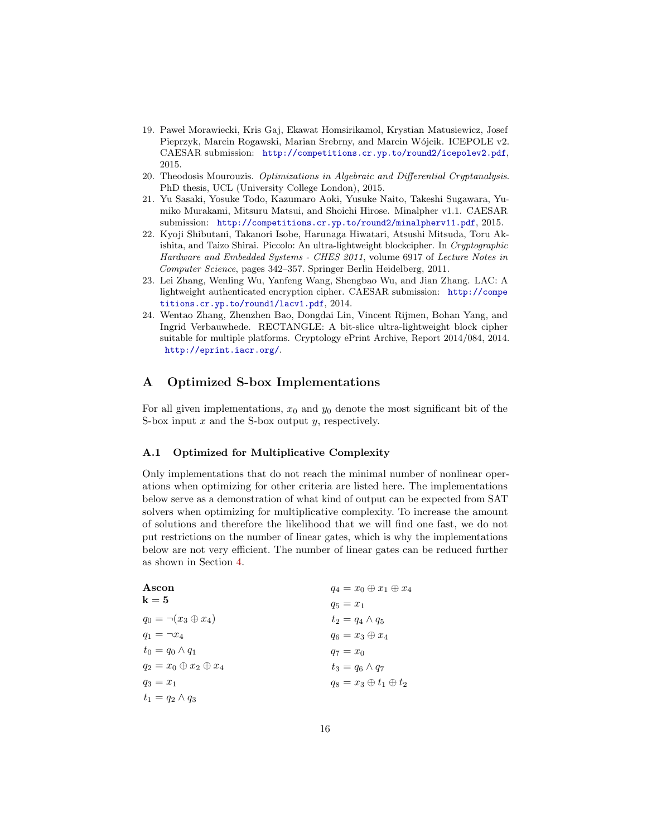- <span id="page-15-4"></span>19. Pawe l Morawiecki, Kris Gaj, Ekawat Homsirikamol, Krystian Matusiewicz, Josef Pieprzyk, Marcin Rogawski, Marian Srebrny, and Marcin Wójcik. ICEPOLE v2. CAESAR submission: <http://competitions.cr.yp.to/round2/icepolev2.pdf>, 2015.
- <span id="page-15-0"></span>20. Theodosis Mourouzis. Optimizations in Algebraic and Differential Cryptanalysis. PhD thesis, UCL (University College London), 2015.
- <span id="page-15-5"></span>21. Yu Sasaki, Yosuke Todo, Kazumaro Aoki, Yusuke Naito, Takeshi Sugawara, Yumiko Murakami, Mitsuru Matsui, and Shoichi Hirose. Minalpher v1.1. CAESAR submission: <http://competitions.cr.yp.to/round2/minalpherv11.pdf>, 2015.
- <span id="page-15-1"></span>22. Kyoji Shibutani, Takanori Isobe, Harunaga Hiwatari, Atsushi Mitsuda, Toru Akishita, and Taizo Shirai. Piccolo: An ultra-lightweight blockcipher. In Cryptographic Hardware and Embedded Systems - CHES 2011, volume 6917 of Lecture Notes in Computer Science, pages 342–357. Springer Berlin Heidelberg, 2011.
- <span id="page-15-2"></span>23. Lei Zhang, Wenling Wu, Yanfeng Wang, Shengbao Wu, and Jian Zhang. LAC: A lightweight authenticated encryption cipher. CAESAR submission: [http://compe](http://competitions.cr.yp.to/round1/lacv1.pdf) [titions.cr.yp.to/round1/lacv1.pdf](http://competitions.cr.yp.to/round1/lacv1.pdf), 2014.
- <span id="page-15-3"></span>24. Wentao Zhang, Zhenzhen Bao, Dongdai Lin, Vincent Rijmen, Bohan Yang, and Ingrid Verbauwhede. RECTANGLE: A bit-slice ultra-lightweight block cipher suitable for multiple platforms. Cryptology ePrint Archive, Report 2014/084, 2014. <http://eprint.iacr.org/>.

## <span id="page-15-6"></span>A Optimized S-box Implementations

For all given implementations,  $x_0$  and  $y_0$  denote the most significant bit of the S-box input  $x$  and the S-box output  $y$ , respectively.

#### A.1 Optimized for Multiplicative Complexity

Only implementations that do not reach the minimal number of nonlinear operations when optimizing for other criteria are listed here. The implementations below serve as a demonstration of what kind of output can be expected from SAT solvers when optimizing for multiplicative complexity. To increase the amount of solutions and therefore the likelihood that we will find one fast, we do not put restrictions on the number of linear gates, which is why the implementations below are not very efficient. The number of linear gates can be reduced further as shown in Section [4.](#page-10-0)

| Ascon                             | $q_4 = x_0 \oplus x_1 \oplus x_4$ |
|-----------------------------------|-----------------------------------|
| $\mathbf{k} = \mathbf{5}$         | $q_5 = x_1$                       |
| $q_0 = \neg(x_3 \oplus x_4)$      | $t_2 = q_4 \wedge q_5$            |
| $q_1 = \neg x_4$                  | $q_6=x_3\oplus x_4$               |
| $t_0 = q_0 \wedge q_1$            | $q_7 = x_0$                       |
| $q_2 = x_0 \oplus x_2 \oplus x_4$ | $t_3 = q_6 \wedge q_7$            |
| $q_3 = x_1$                       | $q_8 = x_3 \oplus t_1 \oplus t_2$ |
| $t_1 = q_2 \wedge q_3$            |                                   |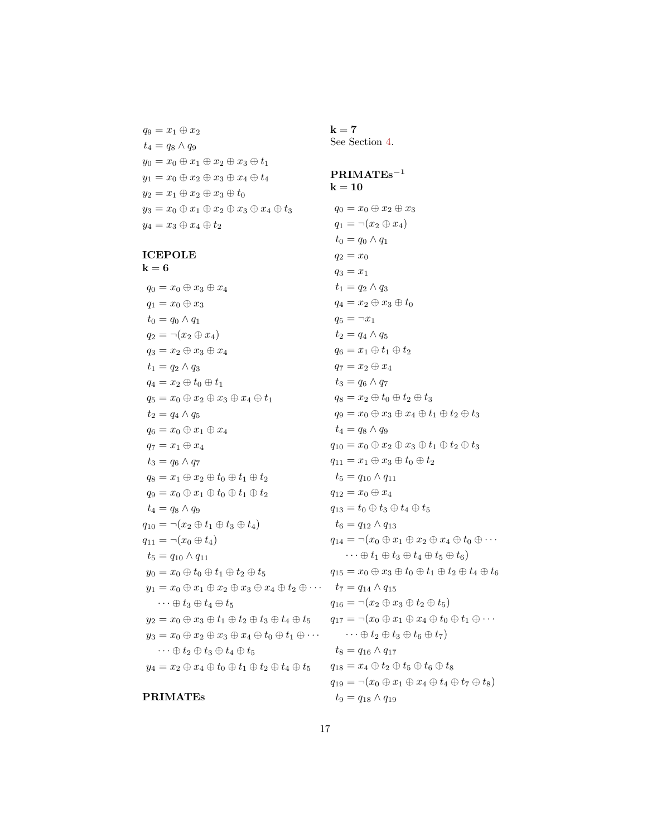$q_9 = x_1 \oplus x_2$  $t_4 = q_8 \wedge q_9$  $y_0 = x_0 \oplus x_1 \oplus x_2 \oplus x_3 \oplus t_1$  $y_1 = x_0 \oplus x_2 \oplus x_3 \oplus x_4 \oplus t_4$  $y_2 = x_1 \oplus x_2 \oplus x_3 \oplus t_0$  $y_3 = x_0 \oplus x_1 \oplus x_2 \oplus x_3 \oplus x_4 \oplus t_3$  $y_4 = x_3 \oplus x_4 \oplus t_2$ 

## **ICEPOLE**

 $k = 6$  $q_0 = x_0 \oplus x_3 \oplus x_4$  $q_1 = x_0 \oplus x_3$  $t_0 = q_0 \wedge q_1$  $q_2 = \neg(x_2 \oplus x_4)$  $q_3 = x_2 \oplus x_3 \oplus x_4$  $t_1 = q_2 \wedge q_3$  $q_4 = x_2 \oplus t_0 \oplus t_1$  $q_5 = x_0 \oplus x_2 \oplus x_3 \oplus x_4 \oplus t_1$  $t_2 = q_4 \wedge q_5$  $q_6 = x_0 \oplus x_1 \oplus x_4$  $q_7 = x_1 \oplus x_4$  $t_3 = q_6 \wedge q_7$  $q_8 = x_1 \oplus x_2 \oplus t_0 \oplus t_1 \oplus t_2$  $q_9 = x_0 \oplus x_1 \oplus t_0 \oplus t_1 \oplus t_2$  $t_4 = q_8 \wedge q_9$  $q_{10} = \neg(x_2 \oplus t_1 \oplus t_3 \oplus t_4)$  $q_{11} = \neg(x_0 \oplus t_4)$  $t_5 = q_{10} \wedge q_{11}$  $y_0 = x_0 \oplus t_0 \oplus t_1 \oplus t_2 \oplus t_5$  $y_1 = x_0 \oplus x_1 \oplus x_2 \oplus x_3 \oplus x_4 \oplus t_2 \oplus \cdots$   $t_7 = q_{14} \wedge q_{15}$  $\cdots \oplus t_3 \oplus t_4 \oplus t_5$  $y_2 = x_0 \oplus x_3 \oplus t_1 \oplus t_2 \oplus t_3 \oplus t_4 \oplus t_5$  $y_3 = x_0 \oplus x_2 \oplus x_3 \oplus x_4 \oplus t_0 \oplus t_1 \oplus \cdots$  $\cdots \oplus t_2 \oplus t_3 \oplus t_4 \oplus t_5$  $y_4 = x_2 \oplus x_4 \oplus t_0 \oplus t_1 \oplus t_2 \oplus t_4 \oplus t_5$  $q_2 = x_0$  $q_3 = x_1$  $t_1 = q_2 \wedge q_3$  $q_4 = x_2 \oplus x_3 \oplus t_0$  $q_5 = \neg x_1$  $t_2 = q_4 \wedge q_5$  $q_6 = x_1 \oplus t_1 \oplus t_2$  $q_7 = x_2 \oplus x_4$  $t_3 = q_6 \wedge q_7$  $q_8 = x_2 \oplus t_0 \oplus t_2 \oplus t_3$  $q_9 = x_0 \oplus x_3 \oplus x_4 \oplus t_1 \oplus t_2 \oplus t_3$  $t_4 = q_8 \wedge q_9$  $q_{10} = x_0 \oplus x_2 \oplus x_3 \oplus t_1 \oplus t_2 \oplus t_3$  $q_{11} = x_1 \oplus x_3 \oplus t_0 \oplus t_2$  $t_5 = q_{10} \wedge q_{11}$  $q_{12} = x_0 \oplus x_4$  $q_{13} = t_0 \oplus t_3 \oplus t_4 \oplus t_5$  $t_6 = q_{12} \wedge q_{13}$  $q_{14} = \neg(x_0 \oplus x_1 \oplus x_2 \oplus x_4 \oplus t_0 \oplus \cdots)$  $\cdots \oplus t_1 \oplus t_3 \oplus t_4 \oplus t_5 \oplus t_6$  $q_{15} = x_0 \oplus x_3 \oplus t_0 \oplus t_1 \oplus t_2 \oplus t_4 \oplus t_6$  $q_{16} = \neg(x_2 \oplus x_3 \oplus t_2 \oplus t_5)$  $q_{17} = \neg(x_0 \oplus x_1 \oplus x_4 \oplus t_0 \oplus t_1 \oplus \cdots)$  $\cdots \oplus t_2 \oplus t_3 \oplus t_6 \oplus t_7$  $t_8 = q_{16} \wedge q_{17}$  $q_{18} = x_4 \oplus t_2 \oplus t_5 \oplus t_6 \oplus t_8$  $q_{19} = \neg(x_0 \oplus x_1 \oplus x_4 \oplus t_4 \oplus t_7 \oplus t_8)$ 

 $k = 7$ 

 $\mathbf{k}=\mathbf{10}$ 

See Section [4.](#page-10-0)

PRIMATEs−<sup>1</sup>

 $q_0 = x_0 \oplus x_2 \oplus x_3$  $q_1 = \neg(x_2 \oplus x_4)$  $t_0 = q_0 \wedge q_1$ 

## PRIMATEs

 $t_9 = q_{18} \wedge q_{19}$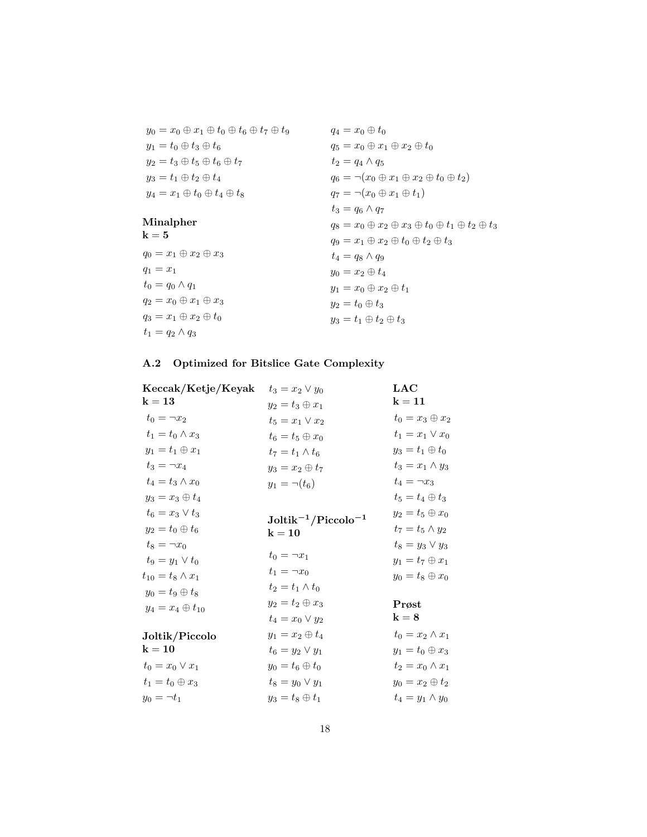| $y_0 = x_0 \oplus x_1 \oplus t_0 \oplus t_6 \oplus t_7 \oplus t_9$ | $q_4=x_0\oplus t_0$                                                           |
|--------------------------------------------------------------------|-------------------------------------------------------------------------------|
| $y_1 = t_0 \oplus t_3 \oplus t_6$                                  | $q_5 = x_0 \oplus x_1 \oplus x_2 \oplus t_0$                                  |
| $y_2=t_3\oplus t_5\oplus t_6\oplus t_7$                            | $t_2 = q_4 \wedge q_5$                                                        |
| $y_3 = t_1 \oplus t_2 \oplus t_4$                                  | $q_6 = \neg(x_0 \oplus x_1 \oplus x_2 \oplus t_0 \oplus t_2)$                 |
| $y_4 = x_1 \oplus t_0 \oplus t_4 \oplus t_8$                       | $q_7 = \neg(x_0 \oplus x_1 \oplus t_1)$                                       |
|                                                                    | $t_3 = q_6 \wedge q_7$                                                        |
| Minalpher                                                          | $q_8 = x_0 \oplus x_2 \oplus x_3 \oplus t_0 \oplus t_1 \oplus t_2 \oplus t_3$ |
| $k=5$                                                              | $q_9 = x_1 \oplus x_2 \oplus t_0 \oplus t_2 \oplus t_3$                       |
| $q_0 = x_1 \oplus x_2 \oplus x_3$                                  | $t_4 = q_8 \wedge q_9$                                                        |
| $q_1 = x_1$                                                        | $y_0 = x_2 \oplus t_4$                                                        |
| $t_0 = q_0 \wedge q_1$                                             | $y_1 = x_0 \oplus x_2 \oplus t_1$                                             |
| $q_2 = x_0 \oplus x_1 \oplus x_3$                                  | $y_2=t_0\oplus t_3$                                                           |
| $q_3 = x_1 \oplus x_2 \oplus t_0$                                  | $y_3 = t_1 \oplus t_2 \oplus t_3$                                             |
| $t_1 = q_2 \wedge q_3$                                             |                                                                               |

## A.2 Optimized for Bitslice Gate Complexity

| <b>Keccak/Ketje/Keyak</b> $t_3 = x_2 \vee y_0$ |                                   | $_{\rm LAC}$             |
|------------------------------------------------|-----------------------------------|--------------------------|
| $\mathbf{k} = \mathbf{13}$                     | $y_2=t_3\oplus x_1$               | $\mathbf{k}=\mathbf{11}$ |
| $t_0 = \neg x_2$                               | $t_5 = x_1 \vee x_2$              | $t_0=x_3\oplus x_2$      |
| $t_1 = t_0 \wedge x_3$                         | $t_6 = t_5 \oplus x_0$            | $t_1=x_1\vee x_0$        |
| $y_1 = t_1 \oplus x_1$                         | $t_7=t_1\wedge t_6$               | $y_3=t_1\oplus t_0$      |
| $t_3 = \neg x_4$                               | $y_3 = x_2 \oplus t_7$            | $t_3=x_1\wedge y_3$      |
| $t_4 = t_3 \wedge x_0$                         | $y_1 = \neg(t_6)$                 | $t_4 = \neg x_3$         |
| $y_3 = x_3 \oplus t_4$                         |                                   | $t_5=t_4\oplus t_3$      |
| $t_6 = x_3 \vee t_3$                           | $Joltik^{-1}/\text{Piccolo}^{-1}$ | $y_2=t_5\oplus x_0$      |
| $y_2=t_0\oplus t_6$                            | $\mathbf{k}=\mathbf{10}$          | $t_7 = t_5 \wedge y_2$   |
| $t_8 = \neg x_0$                               |                                   | $t_8 = y_3 \vee y_3$     |
| $t_9 = y_1 \vee t_0$                           | $t_0 = \neg x_1$                  | $y_1 = t_7 \oplus x_1$   |
| $t_{10} = t_8 \wedge x_1$                      | $t_1 = \neg x_0$                  | $y_0 = t_8 \oplus x_0$   |
| $y_0=t_9\oplus t_8$                            | $t_2 = t_1 \wedge t_0$            |                          |
| $y_4 = x_4 \oplus t_{10}$                      | $y_2 = t_2 \oplus x_3$            | Prøst                    |
|                                                | $t_4 = x_0 \vee y_2$              | $\mathbf{k}=8$           |
| Joltik/Piccolo                                 | $y_1 = x_2 \oplus t_4$            | $t_0 = x_2 \wedge x_1$   |
| $\mathbf{k}=\mathbf{10}$                       | $t_6 = y_2 \vee y_1$              | $y_1 = t_0 \oplus x_3$   |
| $t_0 = x_0 \vee x_1$                           | $y_0 = t_6 \oplus t_0$            | $t_2=x_0\wedge x_1$      |
| $t_1 = t_0 \oplus x_3$                         | $t_8 = y_0 \vee y_1$              | $y_0 = x_2 \oplus t_2$   |
| $y_0 = -t_1$                                   | $y_3 = t_8 \oplus t_1$            | $t_4 = y_1 \wedge y_0$   |
|                                                |                                   |                          |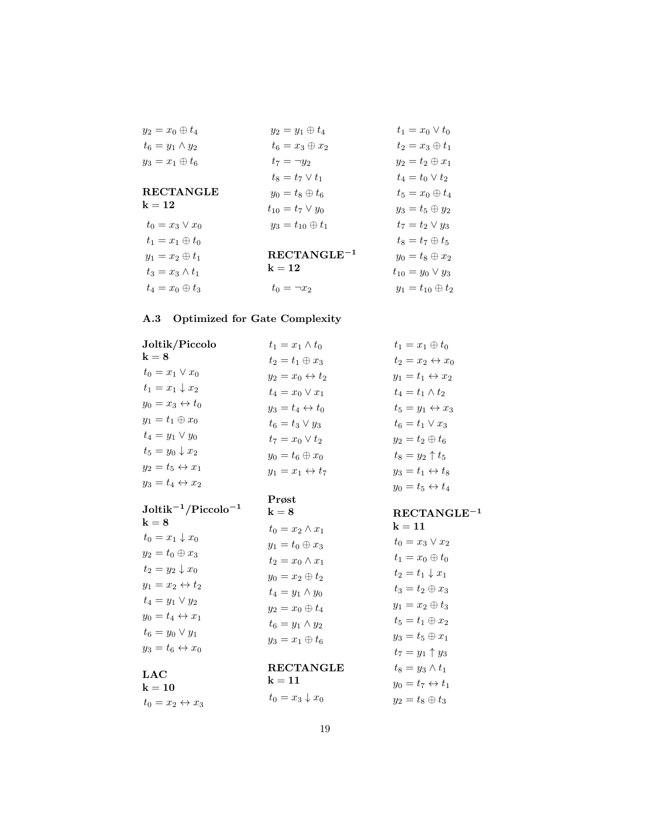| $y_2=x_0\oplus t_4$    | $y_2 = y_1 \oplus t_4$    | $t_1 = x_0 \vee t_0$      |
|------------------------|---------------------------|---------------------------|
| $t_6=y_1\wedge y_2$    | $t_6=x_3\oplus x_2$       | $t_2=x_3\oplus t_1$       |
| $y_3=x_1\oplus t_6$    | $t_7 = \neg y_2$          | $y_2=t_2\oplus x_1$       |
|                        | $t_8 = t_7 \vee t_1$      | $t_4 = t_0 \vee t_2$      |
| <b>RECTANGLE</b>       | $y_0=t_8\oplus t_6$       | $t_5=x_0\oplus t_4$       |
| $\rm k=12$             | $t_{10} = t_7 \vee y_0$   | $y_3 = t_5 \oplus y_2$    |
| $t_0 = x_3 \vee x_0$   | $y_3 = t_{10} \oplus t_1$ | $t_7 = t_2 \vee y_3$      |
| $t_1=x_1\oplus t_0$    |                           | $t_8=t_7\oplus t_5$       |
| $y_1 = x_2 \oplus t_1$ | $RECTANGLE^{-1}$          | $y_0=t_8\oplus x_2$       |
| $t_3=x_3\wedge t_1$    | $\rm k=12$                | $t_{10} = y_0 \vee y_3$   |
| $t_4=x_0\oplus t_3$    | $t_0 = \neg x_2$          | $y_1 = t_{10} \oplus t_2$ |

## A.3 Optimized for Gate Complexity

| Joltik/Piccolo                  | $t_1 = x_1 \wedge t_0$          | $t_1 = x_1 \oplus t_0$          |
|---------------------------------|---------------------------------|---------------------------------|
| $k=8$                           | $t_2=t_1\oplus x_3$             | $t_2=x_2 \leftrightarrow x_0$   |
| $t_0 = x_1 \vee x_0$            | $y_2 = x_0 \leftrightarrow t_2$ | $y_1 = t_1 \leftrightarrow x_2$ |
| $t_1 = x_1 \downarrow x_2$      | $t_4 = x_0 \vee x_1$            | $t_4 = t_1 \wedge t_2$          |
| $y_0 = x_3 \leftrightarrow t_0$ | $y_3 = t_4 \leftrightarrow t_0$ | $t_5=y_1 \leftrightarrow x_3$   |
| $y_1 = t_1 \oplus x_0$          | $t_6 = t_3 \vee y_3$            | $t_6 = t_1 \vee x_3$            |
| $t_4 = y_1 \vee y_0$            | $t_7 = x_0 \vee t_2$            | $y_2=t_2\oplus t_6$             |
| $t_5=y_0\downarrow x_2$         | $y_0 = t_6 \oplus x_0$          | $t_8=y_2\uparrow t_5$           |
| $y_2=t_5 \leftrightarrow x_1$   | $y_1 = x_1 \leftrightarrow t_7$ | $y_3=t_1 \leftrightarrow t_8$   |
| $y_3 = t_4 \leftrightarrow x_2$ |                                 | $y_0 = t_5 \leftrightarrow t_4$ |
|                                 | Prøst                           |                                 |

| $\mathrm{Joltik}^{-1}/\mathrm{Piccolo}^{-1}$                     | $k=8$                      | $RECTANGLE^{-1}$              |
|------------------------------------------------------------------|----------------------------|-------------------------------|
| $\rm{k}=8$                                                       | $t_0 = x_2 \wedge x_1$     | $\mathbf{k}=\mathbf{11}$      |
| $t_0=x_1\downarrow x_0$                                          | $y_1 = t_0 \oplus x_3$     | $t_0 = x_3 \vee x_2$          |
| $y_2=t_0\oplus x_3$                                              | $t_2=x_0\wedge x_1$        | $t_1 = x_0 \oplus t_0$        |
| $t_2=y_2\downarrow x_0$                                          | $y_0 = x_2 \oplus t_2$     | $t_2=t_1\downarrow x_1$       |
| $y_1 = x_2 \leftrightarrow t_2$                                  | $t_4 = y_1 \wedge y_0$     | $t_3 = t_2 \oplus x_3$        |
| $t_4 = y_1 \vee y_2$                                             | $y_2=x_0\oplus t_4$        | $y_1 = x_2 \oplus t_3$        |
| $y_0 = t_4 \leftrightarrow x_1$                                  | $t_6=y_1\wedge y_2$        | $t_5 = t_1 \oplus x_2$        |
| $t_6 = y_0 \vee y_1$                                             | $y_3 = x_1 \oplus t_6$     | $y_3 = t_5 \oplus x_1$        |
| $y_3=t_6 \leftrightarrow x_0$                                    |                            | $t_7=y_1\uparrow y_3$         |
|                                                                  | <b>RECTANGLE</b>           | $t_8=y_3\wedge t_1$           |
| $_{\rm LAC}$                                                     | $\mathbf{k}=\mathbf{11}$   | $y_0=t_7 \leftrightarrow t_1$ |
| $\rm{k}=10$<br>$t_{\circ} = r_{\circ} \leftrightarrow r_{\circ}$ | $t_0 = x_3 \downarrow x_0$ | $y_2 = t_8 \oplus t_3$        |

 $t_0 = x_2 \leftrightarrow x_3$ 

 $y_2 = t_8 \oplus t_3$